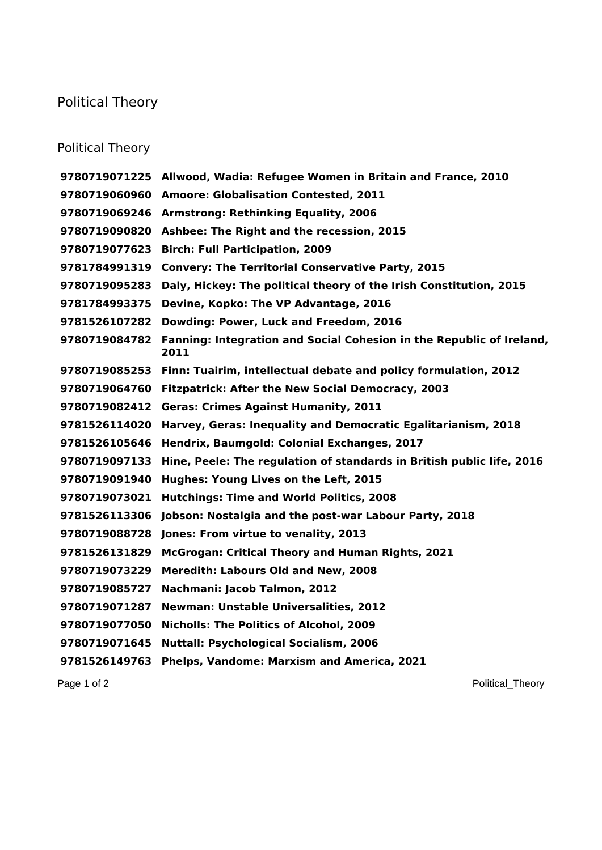## Political Theory

## Political Theory

|               | 9780719071225 Allwood, Wadia: Refugee Women in Britain and France, 2010       |
|---------------|-------------------------------------------------------------------------------|
|               | 9780719060960 Amoore: Globalisation Contested, 2011                           |
|               | 9780719069246 Armstrong: Rethinking Equality, 2006                            |
|               | 9780719090820 Ashbee: The Right and the recession, 2015                       |
| 9780719077623 | <b>Birch: Full Participation, 2009</b>                                        |
| 9781784991319 | <b>Convery: The Territorial Conservative Party, 2015</b>                      |
| 9780719095283 | Daly, Hickey: The political theory of the Irish Constitution, 2015            |
| 9781784993375 | Devine, Kopko: The VP Advantage, 2016                                         |
| 9781526107282 | Dowding: Power, Luck and Freedom, 2016                                        |
| 9780719084782 | Fanning: Integration and Social Cohesion in the Republic of Ireland,<br>2011  |
|               | 9780719085253 Finn: Tuairim, intellectual debate and policy formulation, 2012 |
|               | 9780719064760 Fitzpatrick: After the New Social Democracy, 2003               |
| 9780719082412 | <b>Geras: Crimes Against Humanity, 2011</b>                                   |
| 9781526114020 | Harvey, Geras: Inequality and Democratic Egalitarianism, 2018                 |
| 9781526105646 | Hendrix, Baumgold: Colonial Exchanges, 2017                                   |
| 9780719097133 | Hine, Peele: The regulation of standards in British public life, 2016         |
| 9780719091940 | Hughes: Young Lives on the Left, 2015                                         |
| 9780719073021 | <b>Hutchings: Time and World Politics, 2008</b>                               |
| 9781526113306 | Jobson: Nostalgia and the post-war Labour Party, 2018                         |
| 9780719088728 | Jones: From virtue to venality, 2013                                          |
| 9781526131829 | McGrogan: Critical Theory and Human Rights, 2021                              |
| 9780719073229 | Meredith: Labours Old and New, 2008                                           |
| 9780719085727 | Nachmani: Jacob Talmon, 2012                                                  |
| 9780719071287 | <b>Newman: Unstable Universalities, 2012</b>                                  |
| 9780719077050 | <b>Nicholls: The Politics of Alcohol, 2009</b>                                |
| 9780719071645 | <b>Nuttall: Psychological Socialism, 2006</b>                                 |
| 9781526149763 | Phelps, Vandome: Marxism and America, 2021                                    |

Page 1 of 2 Political\_Theory